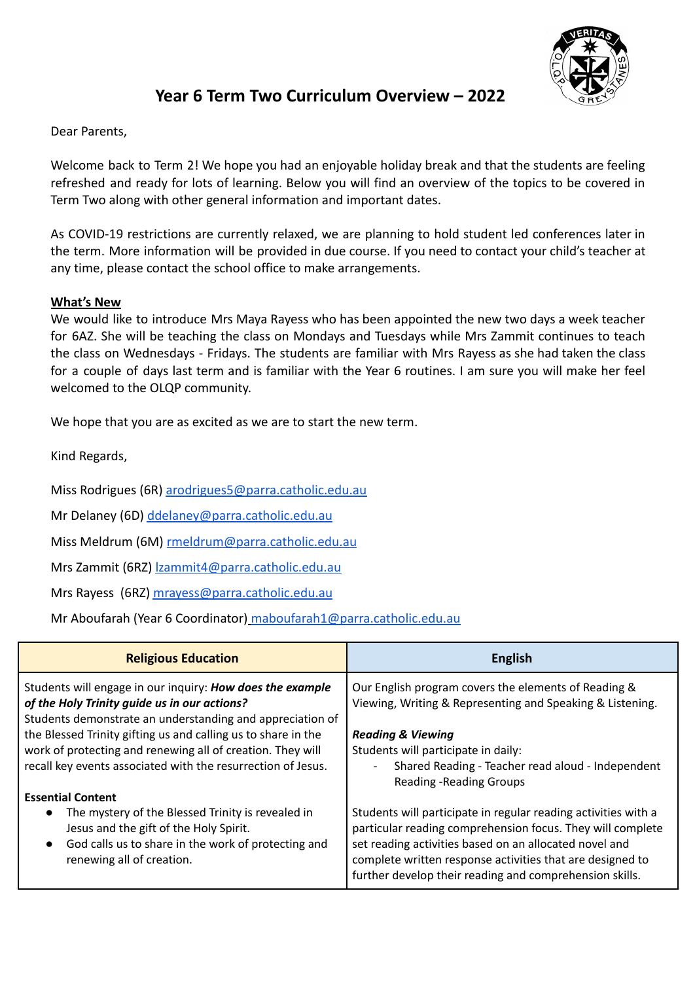

# **Year 6 Term Two Curriculum Overview – 2022**

Dear Parents,

Welcome back to Term 2! We hope you had an enjoyable holiday break and that the students are feeling refreshed and ready for lots of learning. Below you will find an overview of the topics to be covered in Term Two along with other general information and important dates.

As COVID-19 restrictions are currently relaxed, we are planning to hold student led conferences later in the term. More information will be provided in due course. If you need to contact your child's teacher at any time, please contact the school office to make arrangements.

## **What's New**

We would like to introduce Mrs Maya Rayess who has been appointed the new two days a week teacher for 6AZ. She will be teaching the class on Mondays and Tuesdays while Mrs Zammit continues to teach the class on Wednesdays - Fridays. The students are familiar with Mrs Rayess as she had taken the class for a couple of days last term and is familiar with the Year 6 routines. I am sure you will make her feel welcomed to the OLQP community.

We hope that you are as excited as we are to start the new term.

Kind Regards,

Miss Rodrigues (6R) [arodrigues5@parra.catholic.edu.au](mailto:arodrigues5@parra.catholic.edu.au)

Mr Delaney (6D) [ddelaney@parra.catholic.edu.au](mailto:ddelaney@parra.catholic.edu.au)

Miss Meldrum (6M) [rmeldrum@parra.catholic.edu.au](mailto:rmeldrum@parra.catholic.edu.au)

Mrs Zammit (6RZ) [lzammit4@parra.catholic.edu.au](mailto:lzammit4@parra.catholic.edu.au)

Mrs Rayess (6RZ) [mrayess@parra.catholic.edu.au](mailto:mrayess@parra.catholic.edu.au)

Mr Aboufarah (Year 6 Coordinator) [maboufarah1@parra.catholic.edu.au](mailto:maboufarah1@parra.catholic.edu.au)

| <b>Religious Education</b>                                                                                                                                                                                | <b>English</b>                                                                                                                                                                                                                                                                                                 |
|-----------------------------------------------------------------------------------------------------------------------------------------------------------------------------------------------------------|----------------------------------------------------------------------------------------------------------------------------------------------------------------------------------------------------------------------------------------------------------------------------------------------------------------|
| Students will engage in our inquiry: How does the example<br>of the Holy Trinity guide us in our actions?<br>Students demonstrate an understanding and appreciation of                                    | Our English program covers the elements of Reading &<br>Viewing, Writing & Representing and Speaking & Listening.                                                                                                                                                                                              |
| the Blessed Trinity gifting us and calling us to share in the                                                                                                                                             | <b>Reading &amp; Viewing</b>                                                                                                                                                                                                                                                                                   |
| work of protecting and renewing all of creation. They will<br>recall key events associated with the resurrection of Jesus.                                                                                | Students will participate in daily:<br>Shared Reading - Teacher read aloud - Independent                                                                                                                                                                                                                       |
|                                                                                                                                                                                                           | <b>Reading -Reading Groups</b>                                                                                                                                                                                                                                                                                 |
| <b>Essential Content</b>                                                                                                                                                                                  |                                                                                                                                                                                                                                                                                                                |
| The mystery of the Blessed Trinity is revealed in<br>$\bullet$<br>Jesus and the gift of the Holy Spirit.<br>God calls us to share in the work of protecting and<br>$\bullet$<br>renewing all of creation. | Students will participate in regular reading activities with a<br>particular reading comprehension focus. They will complete<br>set reading activities based on an allocated novel and<br>complete written response activities that are designed to<br>further develop their reading and comprehension skills. |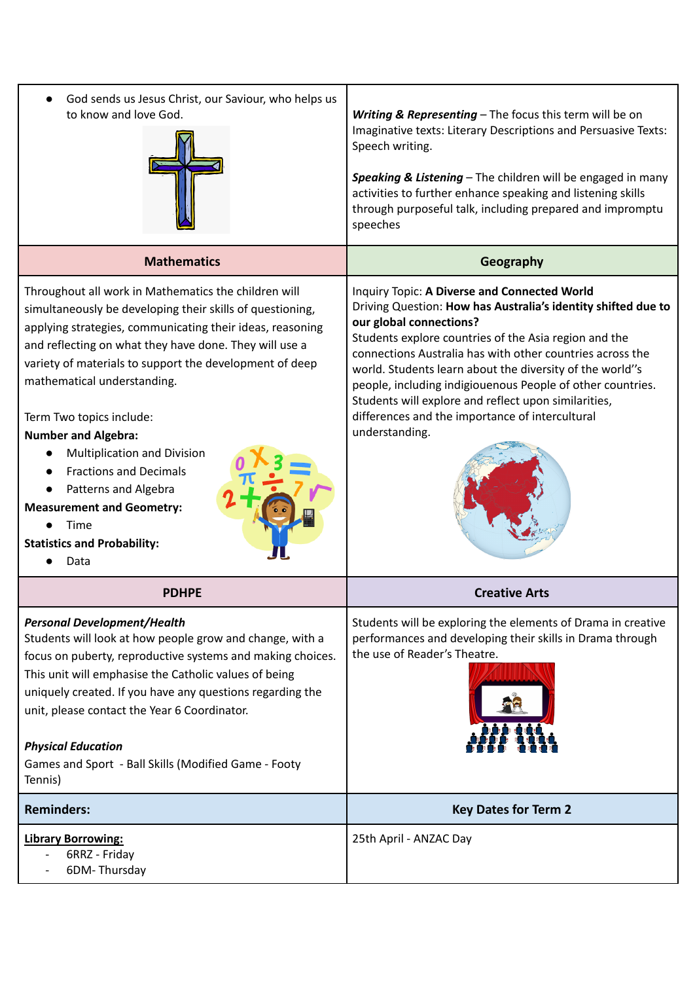| God sends us Jesus Christ, our Saviour, who helps us<br>to know and love God.                                                                                                                                                                                                                                                                                                                                                                                                                                                                                                  | Writing & Representing - The focus this term will be on<br>Imaginative texts: Literary Descriptions and Persuasive Texts:<br>Speech writing.<br>Speaking & Listening - The children will be engaged in many<br>activities to further enhance speaking and listening skills<br>through purposeful talk, including prepared and impromptu<br>speeches                                                                                                                                                                   |
|--------------------------------------------------------------------------------------------------------------------------------------------------------------------------------------------------------------------------------------------------------------------------------------------------------------------------------------------------------------------------------------------------------------------------------------------------------------------------------------------------------------------------------------------------------------------------------|-----------------------------------------------------------------------------------------------------------------------------------------------------------------------------------------------------------------------------------------------------------------------------------------------------------------------------------------------------------------------------------------------------------------------------------------------------------------------------------------------------------------------|
| <b>Mathematics</b>                                                                                                                                                                                                                                                                                                                                                                                                                                                                                                                                                             | Geography                                                                                                                                                                                                                                                                                                                                                                                                                                                                                                             |
| Throughout all work in Mathematics the children will<br>simultaneously be developing their skills of questioning,<br>applying strategies, communicating their ideas, reasoning<br>and reflecting on what they have done. They will use a<br>variety of materials to support the development of deep<br>mathematical understanding.<br>Term Two topics include:<br><b>Number and Algebra:</b><br>Multiplication and Division<br><b>Fractions and Decimals</b><br>Patterns and Algebra<br><b>Measurement and Geometry:</b><br>Time<br><b>Statistics and Probability:</b><br>Data | Inquiry Topic: A Diverse and Connected World<br>Driving Question: How has Australia's identity shifted due to<br>our global connections?<br>Students explore countries of the Asia region and the<br>connections Australia has with other countries across the<br>world. Students learn about the diversity of the world"s<br>people, including indigiouenous People of other countries.<br>Students will explore and reflect upon similarities,<br>differences and the importance of intercultural<br>understanding. |
| <b>PDHPE</b>                                                                                                                                                                                                                                                                                                                                                                                                                                                                                                                                                                   | <b>Creative Arts</b>                                                                                                                                                                                                                                                                                                                                                                                                                                                                                                  |
| <b>Personal Development/Health</b><br>Students will look at how people grow and change, with a<br>focus on puberty, reproductive systems and making choices.<br>This unit will emphasise the Catholic values of being<br>uniquely created. If you have any questions regarding the<br>unit, please contact the Year 6 Coordinator.<br><b>Physical Education</b><br>Games and Sport - Ball Skills (Modified Game - Footy<br>Tennis)                                                                                                                                             | Students will be exploring the elements of Drama in creative<br>performances and developing their skills in Drama through<br>the use of Reader's Theatre.                                                                                                                                                                                                                                                                                                                                                             |
| <b>Reminders:</b>                                                                                                                                                                                                                                                                                                                                                                                                                                                                                                                                                              | <b>Key Dates for Term 2</b>                                                                                                                                                                                                                                                                                                                                                                                                                                                                                           |
| <b>Library Borrowing:</b><br>6RRZ - Friday<br>6DM-Thursday                                                                                                                                                                                                                                                                                                                                                                                                                                                                                                                     | 25th April - ANZAC Day                                                                                                                                                                                                                                                                                                                                                                                                                                                                                                |